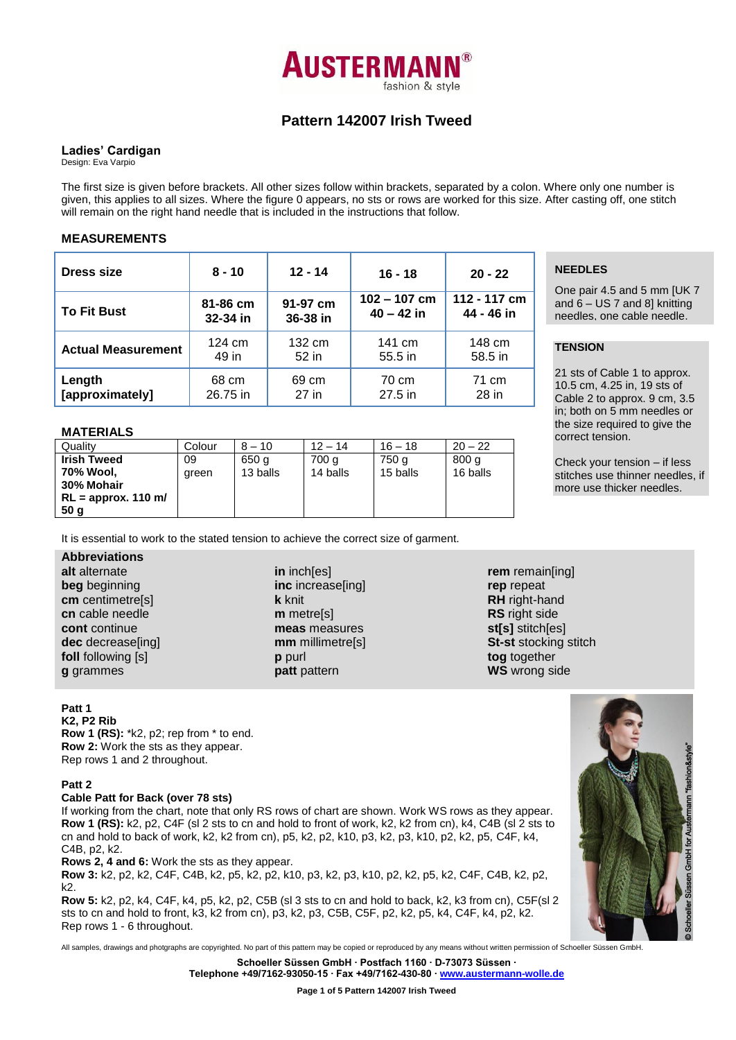

# **Pattern 142007 Irish Tweed**

### **Ladies' Cardigan**

Design: Eva Varpio

The first size is given before brackets. All other sizes follow within brackets, separated by a colon. Where only one number is given, this applies to all sizes. Where the figure 0 appears, no sts or rows are worked for this size. After casting off, one stitch will remain on the right hand needle that is included in the instructions that follow.

### **MEASUREMENTS**

| <b>Dress size</b>         | $8 - 10$ | $12 - 14$ | $16 - 18$      | $20 - 22$    |
|---------------------------|----------|-----------|----------------|--------------|
| <b>To Fit Bust</b>        | 81-86 cm | 91-97 cm  | $102 - 107$ cm | 112 - 117 cm |
|                           | 32-34 in | 36-38 in  | $40 - 42$ in   | 44 - 46 in   |
| <b>Actual Measurement</b> | 124 cm   | 132 cm    | 141 cm         | 148 cm       |
|                           | 49 in    | 52 in     | 55.5 in        | 58.5 in      |
| Length                    | 68 cm    | 69 cm     | 70 cm          | 71 cm        |
| [approximately]           | 26.75 in | 27 in     | $27.5$ in      | 28 in        |

#### **MATERIALS**

| Quality               | Colour | $8 - 10$ | $12 - 14$ | $16 - 18$ | $20 - 22$ |
|-----------------------|--------|----------|-----------|-----------|-----------|
| <b>Irish Tweed</b>    | 09     | 650 g    | 700 g     | 750 g     | 800q      |
| 70% Wool.             | areen  | 13 balls | 14 balls  | 15 balls  | 16 balls  |
| 30% Mohair            |        |          |           |           |           |
| $RL =$ approx. 110 m/ |        |          |           |           |           |
| 50 <sub>q</sub>       |        |          |           |           |           |

It is essential to work to the stated tension to achieve the correct size of garment.

## **Abbreviations**

**alt** alternate **beg** beginning **cm** centimetre[s] **cn** cable needle **cont** continue **dec** decrease[ing] **foll** following [s] **g** grammes

**in** inch[es] **inc** increase[ing] **k** knit **m** metre[s] **meas** measures **mm** millimetre[s] **p** purl **patt** pattern

**rem** remain[ing] **rep** repeat **RH** right-hand **RS** right side **st[s]** stitch[es] **St-st** stocking stitch **tog** together **WS** wrong side

#### **Patt 1**

**K2, P2 Rib Row 1 (RS):** \*k2, p2; rep from \* to end. **Row 2:** Work the sts as they appear. Rep rows 1 and 2 throughout.

#### **Patt 2**

#### **Cable Patt for Back (over 78 sts)**

If working from the chart, note that only RS rows of chart are shown. Work WS rows as they appear. **Row 1 (RS):** k2, p2, C4F (sl 2 sts to cn and hold to front of work, k2, k2 from cn), k4, C4B (sl 2 sts to cn and hold to back of work, k2, k2 from cn), p5, k2, p2, k10, p3, k2, p3, k10, p2, k2, p5, C4F, k4, C4B, p2, k2.

**Rows 2, 4 and 6:** Work the sts as they appear.

**Row 3:** k2, p2, k2, C4F, C4B, k2, p5, k2, p2, k10, p3, k2, p3, k10, p2, k2, p5, k2, C4F, C4B, k2, p2, k2.

**Row 5:** k2, p2, k4, C4F, k4, p5, k2, p2, C5B (sl 3 sts to cn and hold to back, k2, k3 from cn), C5F(sl 2 sts to cn and hold to front, k3, k2 from cn), p3, k2, p3, C5B, C5F, p2, k2, p5, k4, C4F, k4, p2, k2. Rep rows 1 - 6 throughout.

All samples, drawings and photgraphs are copyrighted. No part of this pattern may be copied or reproduced by any means without written permission of Schoeller Süssen GmbH.

**Schoeller Süssen GmbH ∙ Postfach 1160 ∙ D-73073 Süssen ∙ Telephone +49/7162-93050-15 ∙ Fax +49/7162-430-80 ∙ [www.austermann-wolle.de](http://www.austermann-wolle.de/)**

## **NEEDLES**

One pair 4.5 and 5 mm [UK 7 and 6 – US 7 and 8] knitting needles, one cable needle.

## **TENSION**

21 sts of Cable 1 to approx. 10.5 cm, 4.25 in, 19 sts of Cable 2 to approx. 9 cm, 3.5 in; both on 5 mm needles or the size required to give the correct tension.

Check your tension – if less stitches use thinner needles, if more use thicker needles.

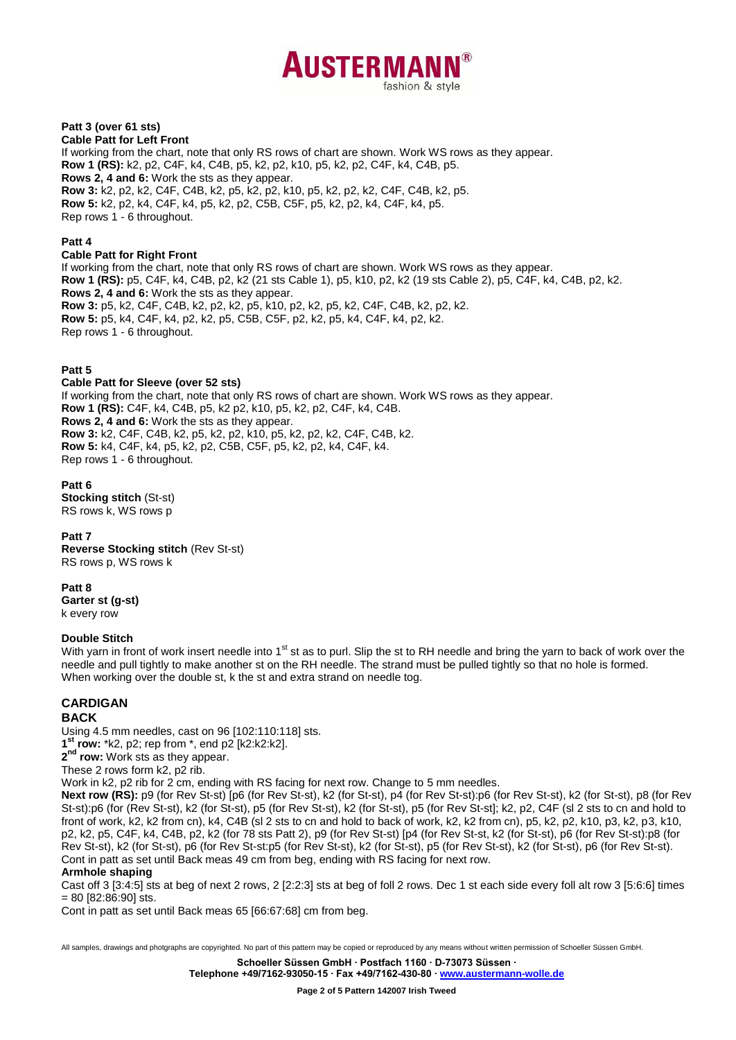

## **Patt 3 (over 61 sts)**

**Cable Patt for Left Front** If working from the chart, note that only RS rows of chart are shown. Work WS rows as they appear. **Row 1 (RS):** k2, p2, C4F, k4, C4B, p5, k2, p2, k10, p5, k2, p2, C4F, k4, C4B, p5. **Rows 2, 4 and 6:** Work the sts as they appear. **Row 3:** k2, p2, k2, C4F, C4B, k2, p5, k2, p2, k10, p5, k2, p2, k2, C4F, C4B, k2, p5. **Row 5:** k2, p2, k4, C4F, k4, p5, k2, p2, C5B, C5F, p5, k2, p2, k4, C4F, k4, p5. Rep rows 1 - 6 throughout.

#### **Patt 4**

**Cable Patt for Right Front**

If working from the chart, note that only RS rows of chart are shown. Work WS rows as they appear. **Row 1 (RS):** p5, C4F, k4, C4B, p2, k2 (21 sts Cable 1), p5, k10, p2, k2 (19 sts Cable 2), p5, C4F, k4, C4B, p2, k2. **Rows 2, 4 and 6:** Work the sts as they appear. **Row 3:** p5, k2, C4F, C4B, k2, p2, k2, p5, k10, p2, k2, p5, k2, C4F, C4B, k2, p2, k2. **Row 5:** p5, k4, C4F, k4, p2, k2, p5, C5B, C5F, p2, k2, p5, k4, C4F, k4, p2, k2. Rep rows 1 - 6 throughout.

#### **Patt 5**

**Cable Patt for Sleeve (over 52 sts)** If working from the chart, note that only RS rows of chart are shown. Work WS rows as they appear. **Row 1 (RS):** C4F, k4, C4B, p5, k2 p2, k10, p5, k2, p2, C4F, k4, C4B. **Rows 2, 4 and 6:** Work the sts as they appear. **Row 3:** k2, C4F, C4B, k2, p5, k2, p2, k10, p5, k2, p2, k2, C4F, C4B, k2. **Row 5:** k4, C4F, k4, p5, k2, p2, C5B, C5F, p5, k2, p2, k4, C4F, k4. Rep rows 1 - 6 throughout.

**Patt 6 Stocking stitch** (St-st) RS rows k, WS rows p

#### **Patt 7**

**Reverse Stocking stitch** (Rev St-st) RS rows p, WS rows k

**Patt 8**

**Garter st (g-st)** k every row

#### **Double Stitch**

With yarn in front of work insert needle into 1<sup>st</sup> st as to purl. Slip the st to RH needle and bring the yarn to back of work over the needle and pull tightly to make another st on the RH needle. The strand must be pulled tightly so that no hole is formed. When working over the double st, k the st and extra strand on needle tog.

## **CARDIGAN**

#### **BACK**

Using 4.5 mm needles, cast on 96 [102:110:118] sts. **1 st row:** \*k2, p2; rep from \*, end p2 [k2:k2:k2].

**2 nd row:** Work sts as they appear.

These 2 rows form k2, p2 rib.

Work in k2, p2 rib for 2 cm, ending with RS facing for next row. Change to 5 mm needles.

**Next row (RS):** p9 (for Rev St-st) [p6 (for Rev St-st), k2 (for St-st), p4 (for Rev St-st):p6 (for Rev St-st), k2 (for St-st), p8 (for Rev St-st):p6 (for (Rev St-st), k2 (for St-st), p5 (for Rev St-st), k2 (for St-st), p5 (for Rev St-st]; k2, p2, C4F (sl 2 sts to cn and hold to front of work, k2, k2 from cn), k4, C4B (sl 2 sts to cn and hold to back of work, k2, k2 from cn), p5, k2, p2, k10, p3, k2, p3, k10, p2, k2, p5, C4F, k4, C4B, p2, k2 (for 78 sts Patt 2), p9 (for Rev St-st) [p4 (for Rev St-st, k2 (for St-st), p6 (for Rev St-st):p8 (for Rev St-st), k2 (for St-st), p6 (for Rev St-st:p5 (for Rev St-st), k2 (for St-st), p5 (for Rev St-st), k2 (for St-st), p6 (for Rev St-st). Cont in patt as set until Back meas 49 cm from beg, ending with RS facing for next row.

#### **Armhole shaping**

Cast off 3 [3:4:5] sts at beg of next 2 rows, 2 [2:2:3] sts at beg of foll 2 rows. Dec 1 st each side every foll alt row 3 [5:6:6] times = 80 [82:86:90] sts.

Cont in patt as set until Back meas 65 [66:67:68] cm from beg.

All samples, drawings and photgraphs are copyrighted. No part of this pattern may be copied or reproduced by any means without written permission of Schoeller Süssen GmbH. **Schoeller Süssen GmbH ∙ Postfach 1160 ∙ D-73073 Süssen ∙**

**Telephone +49/7162-93050-15 ∙ Fax +49/7162-430-80 ∙ [www.austermann-wolle.de](http://www.austermann-wolle.de/)**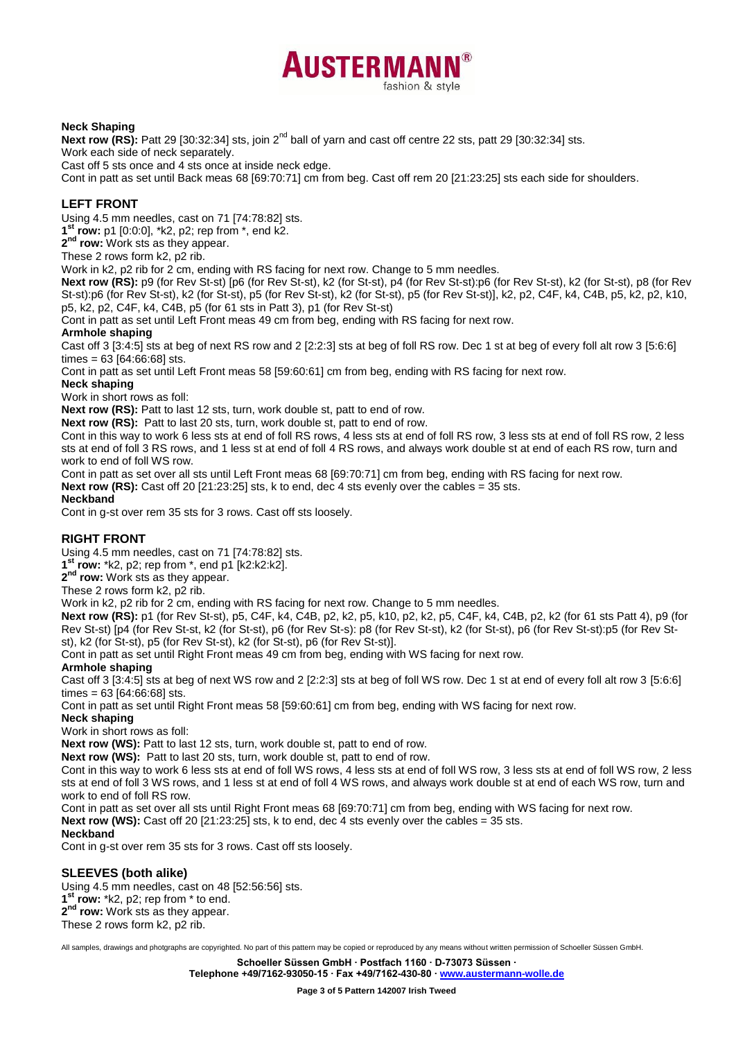# **AUSTERMAN** fashion & style

#### **Neck Shaping**

Next row (RS): Patt 29 [30:32:34] sts, join 2<sup>nd</sup> ball of yarn and cast off centre 22 sts, patt 29 [30:32:34] sts. Work each side of neck separately.

Cast off 5 sts once and 4 sts once at inside neck edge.

Cont in patt as set until Back meas 68 [69:70:71] cm from beg. Cast off rem 20 [21:23:25] sts each side for shoulders.

## **LEFT FRONT**

Using 4.5 mm needles, cast on 71 [74:78:82] sts.

**1 st row:** p1 [0:0:0], \*k2, p2; rep from \*, end k2.

**2 nd row:** Work sts as they appear.

These 2 rows form k2, p2 rib.

Work in k2, p2 rib for 2 cm, ending with RS facing for next row. Change to 5 mm needles.

**Next row (RS):** p9 (for Rev St-st) [p6 (for Rev St-st), k2 (for St-st), p4 (for Rev St-st):p6 (for Rev St-st), k2 (for St-st), p8 (for Rev St-st):p6 (for Rev St-st), k2 (for St-st), p5 (for Rev St-st), k2 (for St-st), p5 (for Rev St-st)], k2, p2, C4F, k4, C4B, p5, k2, p2, k10, p5, k2, p2, C4F, k4, C4B, p5 (for 61 sts in Patt 3), p1 (for Rev St-st)

Cont in patt as set until Left Front meas 49 cm from beg, ending with RS facing for next row.

#### **Armhole shaping**

Cast off 3 [3:4:5] sts at beg of next RS row and 2 [2:2:3] sts at beg of foll RS row. Dec 1 st at beg of every foll alt row 3 [5:6:6] times = 63 [64:66:68] sts.

Cont in patt as set until Left Front meas 58 [59:60:61] cm from beg, ending with RS facing for next row.

#### **Neck shaping**

Work in short rows as foll:

**Next row (RS):** Patt to last 12 sts, turn, work double st, patt to end of row.

**Next row (RS):** Patt to last 20 sts, turn, work double st, patt to end of row.

Cont in this way to work 6 less sts at end of foll RS rows, 4 less sts at end of foll RS row, 3 less sts at end of foll RS row, 2 less sts at end of foll 3 RS rows, and 1 less st at end of foll 4 RS rows, and always work double st at end of each RS row, turn and work to end of foll WS row.

Cont in patt as set over all sts until Left Front meas 68 [69:70:71] cm from beg, ending with RS facing for next row.

**Next row (RS):** Cast off 20 [21:23:25] sts, k to end, dec 4 sts evenly over the cables = 35 sts.

#### **Neckband**

Cont in g-st over rem 35 sts for 3 rows. Cast off sts loosely.

## **RIGHT FRONT**

Using 4.5 mm needles, cast on 71 [74:78:82] sts.

**1 st row:** \*k2, p2; rep from \*, end p1 [k2:k2:k2].

**2 nd row:** Work sts as they appear.

These 2 rows form k2, p2 rib.

Work in k2, p2 rib for 2 cm, ending with RS facing for next row. Change to 5 mm needles.

**Next row (RS):** p1 (for Rev St-st), p5, C4F, k4, C4B, p2, k2, p5, k10, p2, k2, p5, C4F, k4, C4B, p2, k2 (for 61 sts Patt 4), p9 (for Rev St-st) [p4 (for Rev St-st, k2 (for St-st), p6 (for Rev St-s): p8 (for Rev St-st), k2 (for St-st), p6 (for Rev St-st):p5 (for Rev Stst), k2 (for St-st), p5 (for Rev St-st), k2 (for St-st), p6 (for Rev St-st)].

Cont in patt as set until Right Front meas 49 cm from beg, ending with WS facing for next row.

## **Armhole shaping**

Cast off 3 [3:4:5] sts at beg of next WS row and 2 [2:2:3] sts at beg of foll WS row. Dec 1 st at end of every foll alt row 3 [5:6:6] times = 63 [64:66:68] sts.

Cont in patt as set until Right Front meas 58 [59:60:61] cm from beg, ending with WS facing for next row.

## **Neck shaping**

Work in short rows as foll:

**Next row (WS):** Patt to last 12 sts, turn, work double st, patt to end of row.

**Next row (WS):** Patt to last 20 sts, turn, work double st, patt to end of row.

Cont in this way to work 6 less sts at end of foll WS rows, 4 less sts at end of foll WS row, 3 less sts at end of foll WS row, 2 less sts at end of foll 3 WS rows, and 1 less st at end of foll 4 WS rows, and always work double st at end of each WS row, turn and work to end of foll RS row.

Cont in patt as set over all sts until Right Front meas 68 [69:70:71] cm from beg, ending with WS facing for next row.

**Next row (WS):** Cast off 20 [21:23:25] sts, k to end, dec 4 sts evenly over the cables = 35 sts.

#### **Neckband**

Cont in g-st over rem 35 sts for 3 rows. Cast off sts loosely.

## **SLEEVES (both alike)**

Using 4.5 mm needles, cast on 48 [52:56:56] sts. **1 st row:** \*k2, p2; rep from \* to end. **2 nd row:** Work sts as they appear. These 2 rows form k2, p2 rib.

All samples, drawings and photgraphs are copyrighted. No part of this pattern may be copied or reproduced by any means without written permission of Schoeller Süssen GmbH.

**Schoeller Süssen GmbH ∙ Postfach 1160 ∙ D-73073 Süssen ∙**

**Telephone +49/7162-93050-15 ∙ Fax +49/7162-430-80 ∙ [www.austermann-wolle.de](http://www.austermann-wolle.de/)**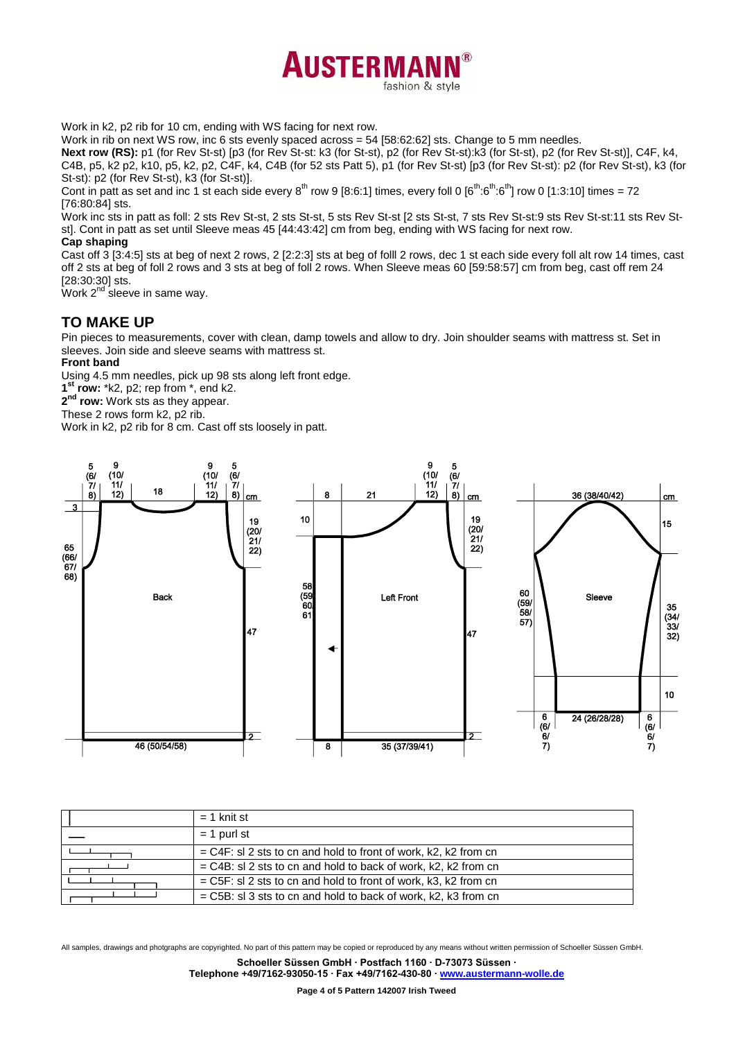

Work in k2, p2 rib for 10 cm, ending with WS facing for next row.

Work in rib on next WS row, inc 6 sts evenly spaced across = 54 [58:62:62] sts. Change to 5 mm needles.

**Next row (RS):** p1 (for Rev St-st) [p3 (for Rev St-st: k3 (for St-st), p2 (for Rev St-st):k3 (for St-st), p2 (for Rev St-st)], C4F, k4, C4B, p5, k2 p2, k10, p5, k2, p2, C4F, k4, C4B (for 52 sts Patt 5), p1 (for Rev St-st) [p3 (for Rev St-st): p2 (for Rev St-st), k3 (for St-st): p2 (for Rev St-st), k3 (for St-st)].

Cont in patt as set and inc 1 st each side every  $8^{th}$  row 9 [8:6:1] times, every foll 0 [ $6^{th}$ : $6^{th}$ : $6^{th}$ ] row 0 [1:3:10] times = 72 [76:80:84] sts.

Work inc sts in patt as foll: 2 sts Rev St-st, 2 sts St-st, 5 sts Rev St-st [2 sts St-st, 7 sts Rev St-st:9 sts Rev St-st:11 sts Rev Stst]. Cont in patt as set until Sleeve meas 45 [44:43:42] cm from beg, ending with WS facing for next row. **Cap shaping**

Cast off 3 [3:4:5] sts at beg of next 2 rows, 2 [2:2:3] sts at beg of folll 2 rows, dec 1 st each side every foll alt row 14 times, cast off 2 sts at beg of foll 2 rows and 3 sts at beg of foll 2 rows. When Sleeve meas 60 [59:58:57] cm from beg, cast off rem 24 [28:30:30] sts.

Work 2<sup>nd</sup> sleeve in same way.

## **TO MAKE UP**

Pin pieces to measurements, cover with clean, damp towels and allow to dry. Join shoulder seams with mattress st. Set in sleeves. Join side and sleeve seams with mattress st.

#### **Front band**

Using 4.5 mm needles, pick up 98 sts along left front edge.

**1 st row:** \*k2, p2; rep from \*, end k2.

**2 nd row:** Work sts as they appear.

These 2 rows form k2, p2 rib.

Work in k2, p2 rib for 8 cm. Cast off sts loosely in patt.



| $= 1$ knit st                                                     |
|-------------------------------------------------------------------|
| $= 1$ purl st                                                     |
| $=$ C4F: sl 2 sts to cn and hold to front of work, k2, k2 from cn |
| $=$ C4B: sl 2 sts to cn and hold to back of work, k2, k2 from cn  |
| $=$ C5F: sl 2 sts to cn and hold to front of work, k3, k2 from cn |
| $=$ C5B: sl 3 sts to cn and hold to back of work, k2, k3 from cn  |

All samples, drawings and photgraphs are copyrighted. No part of this pattern may be copied or reproduced by any means without written permission of Schoeller Süssen GmbH. **Schoeller Süssen GmbH ∙ Postfach 1160 ∙ D-73073 Süssen ∙**

**Telephone +49/7162-93050-15 ∙ Fax +49/7162-430-80 ∙ [www.austermann-wolle.de](http://www.austermann-wolle.de/)**

**Page 4 of 5 Pattern 142007 Irish Tweed**